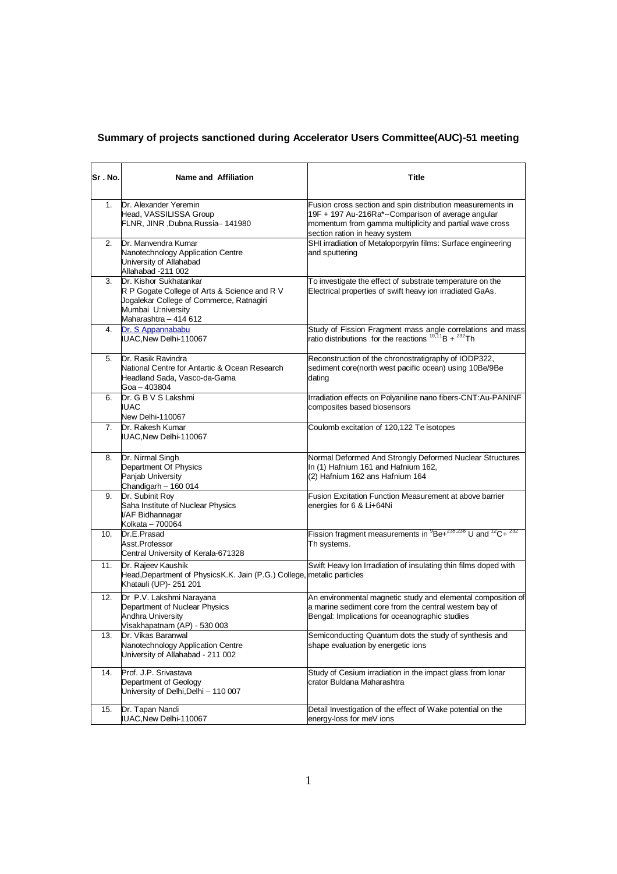## **Summary of projects sanctioned during Accelerator Users Committee(AUC)-51 meeting**

| Sr.No.         | Name and Affiliation                                                                                                                                              | <b>Title</b>                                                                                                                                                                                                  |
|----------------|-------------------------------------------------------------------------------------------------------------------------------------------------------------------|---------------------------------------------------------------------------------------------------------------------------------------------------------------------------------------------------------------|
| 1 <sub>1</sub> | Dr. Alexander Yeremin<br>Head, VASSILISSA Group<br>FLNR, JINR, Dubna, Russia-141980                                                                               | Fusion cross section and spin distribution measurements in<br>19F + 197 Au-216Ra*--Comparison of average angular<br>momentum from gamma multiplicity and partial wave cross<br>section ration in heavy system |
| 2.             | Dr. Manvendra Kumar<br>Nanotechnology Application Centre<br>University of Allahabad<br>Allahabad -211 002                                                         | SHI irradiation of Metaloporpyrin films: Surface engineering<br>and sputtering                                                                                                                                |
| 3.             | Dr. Kishor Sukhatankar<br>R P Gogate College of Arts & Science and R V<br>Jogalekar College of Commerce, Ratnagiri<br>Mumbai U:niversity<br>Maharashtra - 414 612 | To investigate the effect of substrate temperature on the<br>Electrical properties of swift heavy ion irradiated GaAs.                                                                                        |
| 4.             | Dr. S Appannababu<br>IUAC, New Delhi-110067                                                                                                                       | Study of Fission Fragment mass angle correlations and mass<br>ratio distributions for the reactions $^{10,11}B + ^{232}Th$                                                                                    |
| 5.             | Dr. Rasik Ravindra<br>National Centre for Antartic & Ocean Research<br>Headland Sada, Vasco-da-Gama<br>Goa - 403804                                               | Reconstruction of the chronostratigraphy of IODP322,<br>sediment core(north west pacific ocean) using 10Be/9Be<br>dating                                                                                      |
| 6.             | Dr. G B V S Lakshmi<br><b>IUAC</b><br>New Delhi-110067                                                                                                            | Irradiation effects on Polyaniline nano fibers-CNT:Au-PANINF<br>composites based biosensors                                                                                                                   |
| 7.             | Dr. Rakesh Kumar<br>IUAC, New Delhi-110067                                                                                                                        | Coulomb excitation of 120,122 Te isotopes                                                                                                                                                                     |
| 8.             | Dr. Nirmal Singh<br>Department Of Physics<br>Panjab University<br>Chandigarh - 160 014                                                                            | Normal Deformed And Strongly Deformed Nuclear Structures<br>In (1) Hafnium 161 and Hafnium 162,<br>(2) Hafnium 162 ans Hafnium 164                                                                            |
| 9.             | Dr. Subinit Roy<br>Saha Institute of Nuclear Physics<br>I/AF Bidhannagar<br>Kolkata - 700064                                                                      | Fusion Excitation Function Measurement at above barrier<br>energies for 6 & Li+64Ni                                                                                                                           |
| 10.            | Dr.E.Prasad<br>Asst.Professor<br>Central University of Kerala-671328                                                                                              | Fission fragment measurements in ${}^{9}$ Be+ ${}^{235,238}$ U and ${}^{12}$ C+ ${}^{232}$<br>Th systems.                                                                                                     |
| 11.            | Dr. Rajeev Kaushik<br>Head, Department of Physics K.K. Jain (P.G.) College, metalic particles<br>Khatauli (UP)- 251 201                                           | Swift Heavy Ion Irradiation of insulating thin films doped with                                                                                                                                               |
| 12.            | Dr P.V. Lakshmi Narayana<br>Department of Nuclear Physics<br>Andhra University<br>Visakhapatnam (AP) - 530 003                                                    | An environmental magnetic study and elemental composition of<br>a marine sediment core from the central western bay of<br>Bengal: Implications for oceanographic studies                                      |
| 13.            | Dr. Vikas Baranwal<br>Nanotechnology Application Centre<br>University of Allahabad - 211 002                                                                      | Semiconducting Quantum dots the study of synthesis and<br>shape evaluation by energetic ions                                                                                                                  |
| 14.            | Prof. J.P. Srivastava<br>Department of Geology<br>University of Delhi, Delhi - 110 007                                                                            | Study of Cesium irradiation in the impact glass from lonar<br>crator Buldana Maharashtra                                                                                                                      |
| 15.            | Dr. Tapan Nandi<br>IUAC, New Delhi-110067                                                                                                                         | Detail Investigation of the effect of Wake potential on the<br>energy-loss for meV ions                                                                                                                       |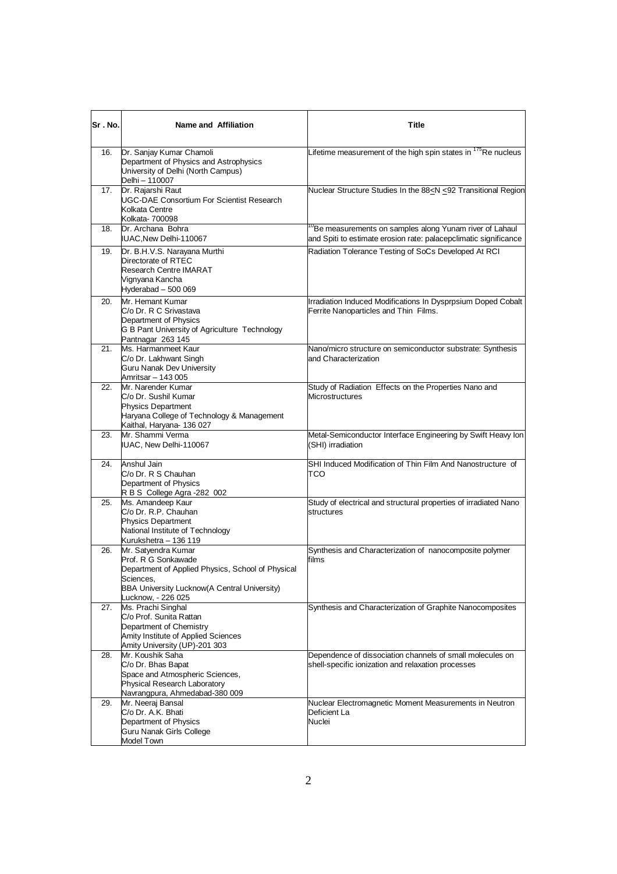| lSr . No. | Name and Affiliation                                                                                                                                                               | Title                                                                                                                                   |
|-----------|------------------------------------------------------------------------------------------------------------------------------------------------------------------------------------|-----------------------------------------------------------------------------------------------------------------------------------------|
| 16.       | Dr. Sanjay Kumar Chamoli<br>Department of Physics and Astrophysics<br>University of Delhi (North Campus)<br>Delhi -- 110007                                                        | Lifetime measurement of the high spin states in <sup>175</sup> Re nucleus                                                               |
| 17.       | Dr. Rajarshi Raut<br><b>UGC-DAE Consortium For Scientist Research</b><br>Kolkata Centre<br>Kolkata- 700098                                                                         | Nuclear Structure Studies In the 88 <n <92="" region<="" td="" transitional=""></n>                                                     |
| 18.       | Dr. Archana Bohra<br>IUAC, New Delhi-110067                                                                                                                                        | <sup>0</sup> Be measurements on samples along Yunam river of Lahaul<br>and Spiti to estimate erosion rate: palacepclimatic significance |
| 19.       | Dr. B.H.V.S. Narayana Murthi<br>Directorate of RTEC<br><b>Research Centre IMARAT</b><br>Vignyana Kancha<br>Hyderabad - 500 069                                                     | Radiation Tolerance Testing of SoCs Developed At RCI                                                                                    |
| 20.       | Mr. Hemant Kumar<br>C/o Dr. R C Srivastava<br>Department of Physics<br>G B Pant University of Agriculture Technology<br>Pantnagar 263 145                                          | Irradiation Induced Modifications In Dysprpsium Doped Cobalt<br>Ferrite Nanoparticles and Thin Films.                                   |
| 21.       | Ms. Harmanmeet Kaur<br>C/o Dr. Lakhwant Singh<br>Guru Nanak Dev University<br>Amritsar - 143 005                                                                                   | Nano/micro structure on semiconductor substrate: Synthesis<br>and Characterization                                                      |
| 22.       | Mr. Narender Kumar<br>C/o Dr. Sushil Kumar<br><b>Physics Department</b><br>Haryana College of Technology & Management<br>Kaithal, Haryana- 136 027                                 | Study of Radiation Effects on the Properties Nano and<br>Microstructures                                                                |
| 23.       | Mr. Shammi Verma<br>IUAC, New Delhi-110067                                                                                                                                         | Metal-Semiconductor Interface Engineering by Swift Heavy Ion<br>(SHI) irradiation                                                       |
| 24.       | Anshul Jain<br>C/o Dr. R S Chauhan<br>Department of Physics<br>R B S College Agra -282 002                                                                                         | SHI Induced Modification of Thin Film And Nanostructure of<br>тсо                                                                       |
| 25.       | Ms. Amandeep Kaur<br>C/o Dr. R.P. Chauhan<br>Physics Department<br>National Institute of Technology<br>Kurukshetra - 136 119                                                       | Study of electrical and structural properties of irradiated Nano<br>structures                                                          |
| 26.       | Mr. Satyendra Kumar<br>Prof. R G Sonkawade<br>Department of Applied Physics, School of Physical<br>Sciences,<br>BBA University Lucknow(A Central University)<br>Lucknow, - 226 025 | Synthesis and Characterization of nanocomposite polymer<br>films                                                                        |
| 27.       | Ms. Prachi Singhal<br>C/o Prof. Sunita Rattan<br>Department of Chemistry<br>Amity Institute of Applied Sciences<br>Amity University (UP)-201 303                                   | Synthesis and Characterization of Graphite Nanocomposites                                                                               |
| 28.       | Mr. Koushik Saha<br>C/o Dr. Bhas Bapat<br>Space and Atmospheric Sciences,<br>Physical Research Laboratory<br>Navrangpura, Ahmedabad-380 009                                        | Dependence of dissociation channels of small molecules on<br>shell-specific ionization and relaxation processes                         |
| 29.       | Mr. Neeraj Bansal<br>C/o Dr. A.K. Bhati<br>Department of Physics<br>Guru Nanak Girls College<br>Model Town                                                                         | Nuclear Electromagnetic Moment Measurements in Neutron<br>Deficient La<br>Nuclei                                                        |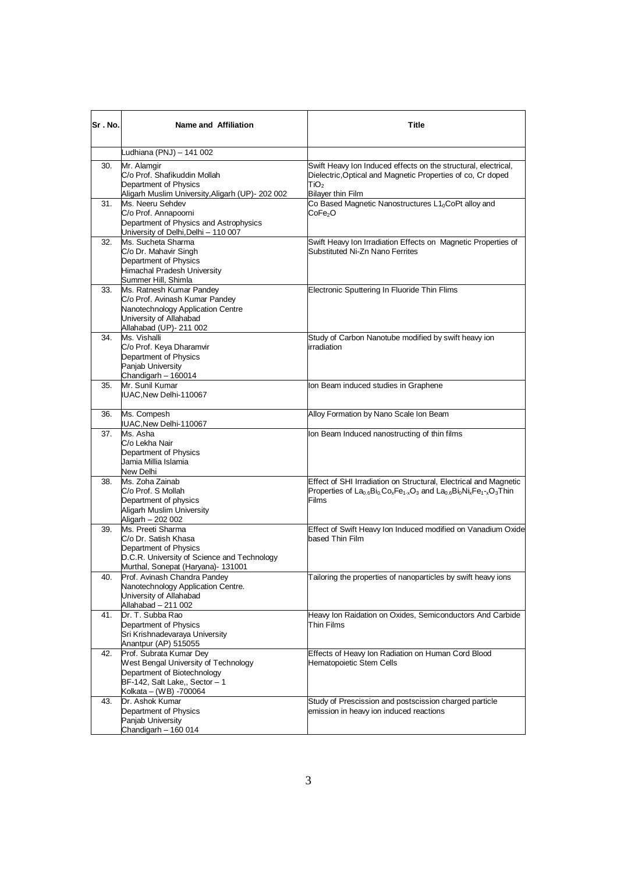| Sr.No. | Name and Affiliation                                                                                                                                                         | Title                                                                                                                                                                         |
|--------|------------------------------------------------------------------------------------------------------------------------------------------------------------------------------|-------------------------------------------------------------------------------------------------------------------------------------------------------------------------------|
|        | Ludhiana (PNJ) - 141 002                                                                                                                                                     |                                                                                                                                                                               |
| 30.    | Mr. Alamgir<br>C/o Prof. Shafikuddin Mollah<br>Department of Physics<br>Aligarh Muslim University, Aligarh (UP)- 202 002                                                     | Swift Heavy Ion Induced effects on the structural, electrical,<br>Dielectric, Optical and Magnetic Properties of co, Cr doped<br>TiO <sub>2</sub><br><b>Bilayer thin Film</b> |
| 31.    | Ms. Neeru Sehdev<br>C/o Prof. Annapoorni<br>Department of Physics and Astrophysics<br>University of Delhi, Delhi - 110 007                                                   | Co Based Magnetic Nanostructures L10CoPt alloy and<br>CoFe <sub>2</sub> O                                                                                                     |
| 32.    | Ms. Sucheta Sharma<br>C/o Dr. Mahavir Singh<br>Department of Physics<br>Himachal Pradesh University<br>Summer Hill, Shimla                                                   | Swift Heavy Ion Irradiation Effects on Magnetic Properties of<br>Substituted Ni-Zn Nano Ferrites                                                                              |
| 33.    | Ms. Ratnesh Kumar Pandey<br>C/o Prof. Avinash Kumar Pandey<br>Nanotechnology Application Centre<br>University of Allahabad<br>Allahabad (UP)- 211 002                        | Electronic Sputtering In Fluoride Thin Flims                                                                                                                                  |
| 34.    | Ms. Vishalli<br>C/o Prof. Keya Dharamvir<br>Department of Physics<br>Panjab University<br>Chandigarh - 160014                                                                | Study of Carbon Nanotube modified by swift heavy ion<br>irradiation                                                                                                           |
| 35.    | Mr. Sunil Kumar<br>IUAC, New Delhi-110067                                                                                                                                    | Ion Beam induced studies in Graphene                                                                                                                                          |
| 36.    | Ms. Compesh<br>IUAC, New Delhi-110067                                                                                                                                        | Alloy Formation by Nano Scale Ion Beam                                                                                                                                        |
| 37.    | Ms. Asha<br>C/o Lekha Nair<br>Department of Physics<br>Jamia Millia Islamia<br>New Delhi                                                                                     | Ion Beam Induced nanostructing of thin films                                                                                                                                  |
| 38.    | Ms. Zoha Zainab<br>C/o Prof. S Mollah<br>Department of physics<br>Aligarh Muslim University                                                                                  | Effect of SHI Irradiation on Structural, Electrical and Magnetic<br>Properties of $La_{0.6}Bi_0Co_xFe_{1.x}O_3$ and $La_{0.6}Bi_0Ni_xFe_{1-x}O_3T$ hin<br>Films               |
| 39.    | Aligarh - 202 002<br>Ms. Preeti Sharma<br>C/o Dr. Satish Khasa<br>Department of Physics<br>D.C.R. University of Science and Technology<br>Murthal, Sonepat (Haryana)- 131001 | Effect of Swift Heavy Ion Induced modified on Vanadium Oxide<br>based Thin Film                                                                                               |
| 40.    | Prof. Avinash Chandra Pandey<br>Nanotechnology Application Centre.<br>University of Allahabad<br>Allahabad - 211 002                                                         | Tailoring the properties of nanoparticles by swift heavy ions                                                                                                                 |
| 41.    | Dr. T. Subba Rao<br>Department of Physics<br>Sri Krishnadevaraya University<br>Anantpur (AP) 515055                                                                          | Heavy Ion Raidation on Oxides, Semiconductors And Carbide<br>Thin Films                                                                                                       |
| 42.    | Prof. Subrata Kumar Dey<br>West Bengal University of Technology<br>Department of Biotechnology<br>BF-142, Salt Lake,, Sector - 1<br>Kolkata - (WB) -700064                   | Effects of Heavy Ion Radiation on Human Cord Blood<br>Hematopoietic Stem Cells                                                                                                |
| 43.    | Dr. Ashok Kumar<br>Department of Physics<br>Panjab University<br>Chandigarh - 160 014                                                                                        | Study of Prescission and postscission charged particle<br>emission in heavy ion induced reactions                                                                             |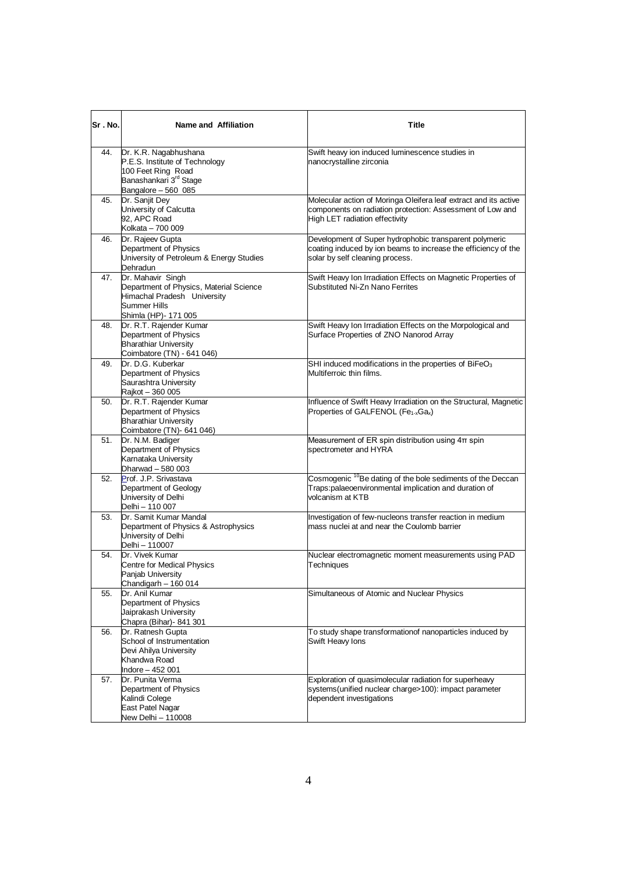| Sr.No. | Name and Affiliation                                                                                                                       | Title                                                                                                                                                           |
|--------|--------------------------------------------------------------------------------------------------------------------------------------------|-----------------------------------------------------------------------------------------------------------------------------------------------------------------|
| 44.    | Dr. K.R. Nagabhushana<br>P.E.S. Institute of Technology<br>100 Feet Ring Road<br>Banashankari 3rd Stage<br>Bangalore - 560 085             | Swift heavy ion induced luminescence studies in<br>nanocrystalline zirconia                                                                                     |
| 45.    | Dr. Sanjit Dey<br>University of Calcutta<br>92, APC Road<br>Kolkata - 700 009                                                              | Molecular action of Moringa Oleifera leaf extract and its active<br>components on radiation protection: Assessment of Low and<br>High LET radiation effectivity |
| 46.    | Dr. Rajeev Gupta<br>Department of Physics<br>University of Petroleum & Energy Studies<br>Dehradun                                          | Development of Super hydrophobic transparent polymeric<br>coating induced by ion beams to increase the efficiency of the<br>solar by self cleaning process.     |
| 47.    | Dr. Mahavir Singh<br>Department of Physics, Material Science<br>Himachal Pradesh University<br><b>Summer Hills</b><br>Shimla (HP)- 171 005 | Swift Heavy Ion Irradiation Effects on Magnetic Properties of<br>Substituted Ni-Zn Nano Ferrites                                                                |
| 48.    | Dr. R.T. Rajender Kumar<br>Department of Physics<br><b>Bharathiar University</b><br>Coimbatore (TN) - 641 046)                             | Swift Heavy Ion Irradiation Effects on the Morpological and<br>Surface Properties of ZNO Nanorod Array                                                          |
| 49.    | Dr. D.G. Kuberkar<br>Department of Physics<br>Saurashtra University<br>Rajkot - 360 005                                                    | SHI induced modifications in the properties of BiFeO <sub>3</sub><br>Multiferroic thin films.                                                                   |
| 50.    | Dr. R.T. Rajender Kumar<br>Department of Physics<br><b>Bharathiar University</b><br>Coimbatore (TN)- 641 046)                              | Influence of Swift Heavy Irradiation on the Structural, Magnetic<br>Properties of GALFENOL (Fe <sub>1-x</sub> Ga <sub>x</sub> )                                 |
| 51.    | Dr. N.M. Badiger<br>Department of Physics<br>Karnataka University<br>Dharwad - 580 003                                                     | Measurement of ER spin distribution using $4\pi$ spin<br>spectrometer and HYRA                                                                                  |
| 52.    | Prof. J.P. Srivastava<br>Department of Geology<br>University of Delhi<br>Delhi - 110 007                                                   | Cosmogenic <sup>10</sup> Be dating of the bole sediments of the Deccan<br>Traps:palaeoenvironmental implication and duration of<br>volcanism at KTB             |
| 53.    | Dr. Samit Kumar Mandal<br>Department of Physics & Astrophysics<br>University of Delhi<br>Delhi - 110007                                    | Investigation of few-nucleons transfer reaction in medium<br>mass nuclei at and near the Coulomb barrier                                                        |
| 54.    | Dr. Vivek Kumar<br><b>Centre for Medical Physics</b><br>Panjab University<br>Chandigarh - 160 014                                          | Nuclear electromagnetic moment measurements using PAD<br>Techniques                                                                                             |
| 55.    | Dr. Anil Kumar<br>Department of Physics<br>Jaiprakash University<br>Chapra (Bihar) - 841 301                                               | Simultaneous of Atomic and Nuclear Physics                                                                                                                      |
| 56.    | Dr. Ratnesh Gupta<br>School of Instrumentation<br>Devi Ahilya University<br>Khandwa Road<br>Indore – 452 001                               | To study shape transformationof nanoparticles induced by<br>Swift Heavy Ions                                                                                    |
| 57.    | Dr. Punita Verma<br>Department of Physics<br>Kalindi Colege<br>East Patel Nagar<br>New Delhi - 110008                                      | Exploration of quasimolecular radiation for superheavy<br>systems(unified nuclear charge>100): impact parameter<br>dependent investigations                     |